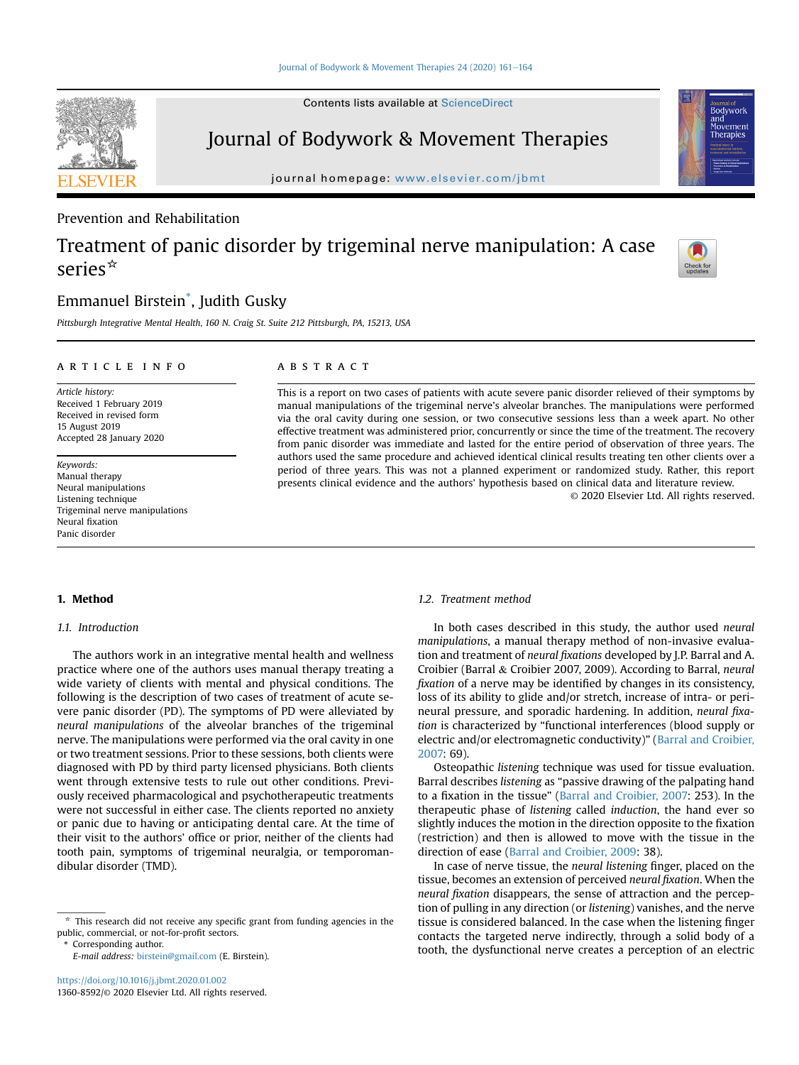Contents lists available at ScienceDirect

## Journal of Bodywork & Movement Therapies

journal homepage: www.elsevier.com/jbmt

## Prevention and Rehabilitation

# Treatment of panic disorder by trigeminal nerve manipulation: A case series\*

## Emmanuel Birstein[\\*](#page-0-0) , Judith Gusky

Pittsburgh Integrative Mental Health, 160 N. Craig St. Suite 212 Pittsburgh, PA, 15213, USA

### article info

Article history: Received 1 February 2019 Received in revised form 15 August 2019 Accepted 28 January 2020

Keywords: Manual therapy Neural manipulations Listening technique Trigeminal nerve manipulations Neural fixation Panic disorder

#### 1. Method

### 1.1. Introduction

The authors work in an integrative mental health and wellness practice where one of the authors uses manual therapy treating a wide variety of clients with mental and physical conditions. The following is the description of two cases of treatment of acute severe panic disorder (PD). The symptoms of PD were alleviated by neural manipulations of the alveolar branches of the trigeminal nerve. The manipulations were performed via the oral cavity in one or two treatment sessions. Prior to these sessions, both clients were diagnosed with PD by third party licensed physicians. Both clients went through extensive tests to rule out other conditions. Previously received pharmacological and psychotherapeutic treatments were not successful in either case. The clients reported no anxiety or panic due to having or anticipating dental care. At the time of their visit to the authors' office or prior, neither of the clients had tooth pain, symptoms of trigeminal neuralgia, or temporomandibular disorder (TMD).

<span id="page-0-0"></span>Corresponding author.

E-mail address: birstein@gmail.com (E. Birstein).

#### **ABSTRACT**

This is a report on two cases of patients with acute severe panic disorder relieved of their symptoms by manual manipulations of the trigeminal nerve's alveolar branches. The manipulations were performed via the oral cavity during one session, or two consecutive sessions less than a week apart. No other effective treatment was administered prior, concurrently or since the time of the treatment. The recovery from panic disorder was immediate and lasted for the entire period of observation of three years. The authors used the same procedure and achieved identical clinical results treating ten other clients over a period of three years. This was not a planned experiment or randomized study. Rather, this report presents clinical evidence and the authors' hypothesis based on clinical data and literature review.

© 2020 Elsevier Ltd. All rights reserved.

## 1.2. Treatment method

In both cases described in this study, the author used neural manipulations, a manual therapy method of non-invasive evaluation and treatment of neural fixations developed by J.P. Barral and A. Croibier (Barral & Croibier 2007, 2009). According to Barral, neural fixation of a nerve may be identified by changes in its consistency, loss of its ability to glide and/or stretch, increase of intra- or perineural pressure, and sporadic hardening. In addition, neural fixation is characterized by "functional interferences (blood supply or electric and/or electromagnetic conductivity)" [\(Barral and Croibier,](#page-3-0) [2007:](#page-3-0) 69).

Osteopathic listening technique was used for tissue evaluation. Barral describes listening as "passive drawing of the palpating hand to a fixation in the tissue" [\(Barral and Croibier, 2007:](#page-3-0) 253). In the therapeutic phase of listening called induction, the hand ever so slightly induces the motion in the direction opposite to the fixation (restriction) and then is allowed to move with the tissue in the direction of ease ([Barral and Croibier, 2009](#page-3-1): 38).

In case of nerve tissue, the neural listening finger, placed on the tissue, becomes an extension of perceived neural fixation. When the neural fixation disappears, the sense of attraction and the perception of pulling in any direction (or listening) vanishes, and the nerve tissue is considered balanced. In the case when the listening finger contacts the targeted nerve indirectly, through a solid body of a tooth, the dysfunctional nerve creates a perception of an electric







This research did not receive any specific grant from funding agencies in the public, commercial, or not-for-profit sectors.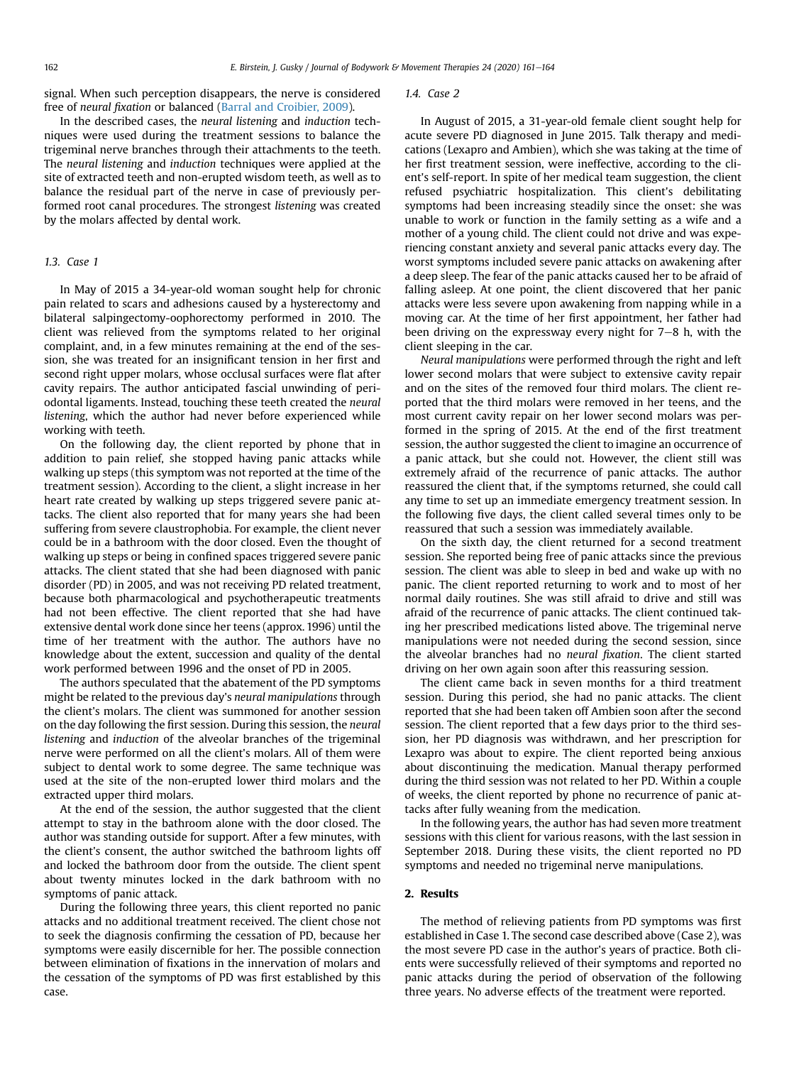signal. When such perception disappears, the nerve is considered free of neural fixation or balanced ([Barral and Croibier, 2009\)](#page-3-1).

In the described cases, the neural listening and induction techniques were used during the treatment sessions to balance the trigeminal nerve branches through their attachments to the teeth. The neural listening and induction techniques were applied at the site of extracted teeth and non-erupted wisdom teeth, as well as to balance the residual part of the nerve in case of previously performed root canal procedures. The strongest listening was created by the molars affected by dental work.

#### 1.3. Case 1

In May of 2015 a 34-year-old woman sought help for chronic pain related to scars and adhesions caused by a hysterectomy and bilateral salpingectomy-oophorectomy performed in 2010. The client was relieved from the symptoms related to her original complaint, and, in a few minutes remaining at the end of the session, she was treated for an insignificant tension in her first and second right upper molars, whose occlusal surfaces were flat after cavity repairs. The author anticipated fascial unwinding of periodontal ligaments. Instead, touching these teeth created the neural listening, which the author had never before experienced while working with teeth.

On the following day, the client reported by phone that in addition to pain relief, she stopped having panic attacks while walking up steps (this symptom was not reported at the time of the treatment session). According to the client, a slight increase in her heart rate created by walking up steps triggered severe panic attacks. The client also reported that for many years she had been suffering from severe claustrophobia. For example, the client never could be in a bathroom with the door closed. Even the thought of walking up steps or being in confined spaces triggered severe panic attacks. The client stated that she had been diagnosed with panic disorder (PD) in 2005, and was not receiving PD related treatment, because both pharmacological and psychotherapeutic treatments had not been effective. The client reported that she had have extensive dental work done since her teens (approx. 1996) until the time of her treatment with the author. The authors have no knowledge about the extent, succession and quality of the dental work performed between 1996 and the onset of PD in 2005.

The authors speculated that the abatement of the PD symptoms might be related to the previous day's neural manipulations through the client's molars. The client was summoned for another session on the day following the first session. During this session, the neural listening and induction of the alveolar branches of the trigeminal nerve were performed on all the client's molars. All of them were subject to dental work to some degree. The same technique was used at the site of the non-erupted lower third molars and the extracted upper third molars.

At the end of the session, the author suggested that the client attempt to stay in the bathroom alone with the door closed. The author was standing outside for support. After a few minutes, with the client's consent, the author switched the bathroom lights off and locked the bathroom door from the outside. The client spent about twenty minutes locked in the dark bathroom with no symptoms of panic attack.

During the following three years, this client reported no panic attacks and no additional treatment received. The client chose not to seek the diagnosis confirming the cessation of PD, because her symptoms were easily discernible for her. The possible connection between elimination of fixations in the innervation of molars and the cessation of the symptoms of PD was first established by this case.

#### 1.4. Case 2

In August of 2015, a 31-year-old female client sought help for acute severe PD diagnosed in June 2015. Talk therapy and medications (Lexapro and Ambien), which she was taking at the time of her first treatment session, were ineffective, according to the client's self-report. In spite of her medical team suggestion, the client refused psychiatric hospitalization. This client's debilitating symptoms had been increasing steadily since the onset: she was unable to work or function in the family setting as a wife and a mother of a young child. The client could not drive and was experiencing constant anxiety and several panic attacks every day. The worst symptoms included severe panic attacks on awakening after a deep sleep. The fear of the panic attacks caused her to be afraid of falling asleep. At one point, the client discovered that her panic attacks were less severe upon awakening from napping while in a moving car. At the time of her first appointment, her father had been driving on the expressway every night for  $7-8$  h, with the client sleeping in the car.

Neural manipulations were performed through the right and left lower second molars that were subject to extensive cavity repair and on the sites of the removed four third molars. The client reported that the third molars were removed in her teens, and the most current cavity repair on her lower second molars was performed in the spring of 2015. At the end of the first treatment session, the author suggested the client to imagine an occurrence of a panic attack, but she could not. However, the client still was extremely afraid of the recurrence of panic attacks. The author reassured the client that, if the symptoms returned, she could call any time to set up an immediate emergency treatment session. In the following five days, the client called several times only to be reassured that such a session was immediately available.

On the sixth day, the client returned for a second treatment session. She reported being free of panic attacks since the previous session. The client was able to sleep in bed and wake up with no panic. The client reported returning to work and to most of her normal daily routines. She was still afraid to drive and still was afraid of the recurrence of panic attacks. The client continued taking her prescribed medications listed above. The trigeminal nerve manipulations were not needed during the second session, since the alveolar branches had no neural fixation. The client started driving on her own again soon after this reassuring session.

The client came back in seven months for a third treatment session. During this period, she had no panic attacks. The client reported that she had been taken off Ambien soon after the second session. The client reported that a few days prior to the third session, her PD diagnosis was withdrawn, and her prescription for Lexapro was about to expire. The client reported being anxious about discontinuing the medication. Manual therapy performed during the third session was not related to her PD. Within a couple of weeks, the client reported by phone no recurrence of panic attacks after fully weaning from the medication.

In the following years, the author has had seven more treatment sessions with this client for various reasons, with the last session in September 2018. During these visits, the client reported no PD symptoms and needed no trigeminal nerve manipulations.

#### 2. Results

The method of relieving patients from PD symptoms was first established in Case 1. The second case described above (Case 2), was the most severe PD case in the author's years of practice. Both clients were successfully relieved of their symptoms and reported no panic attacks during the period of observation of the following three years. No adverse effects of the treatment were reported.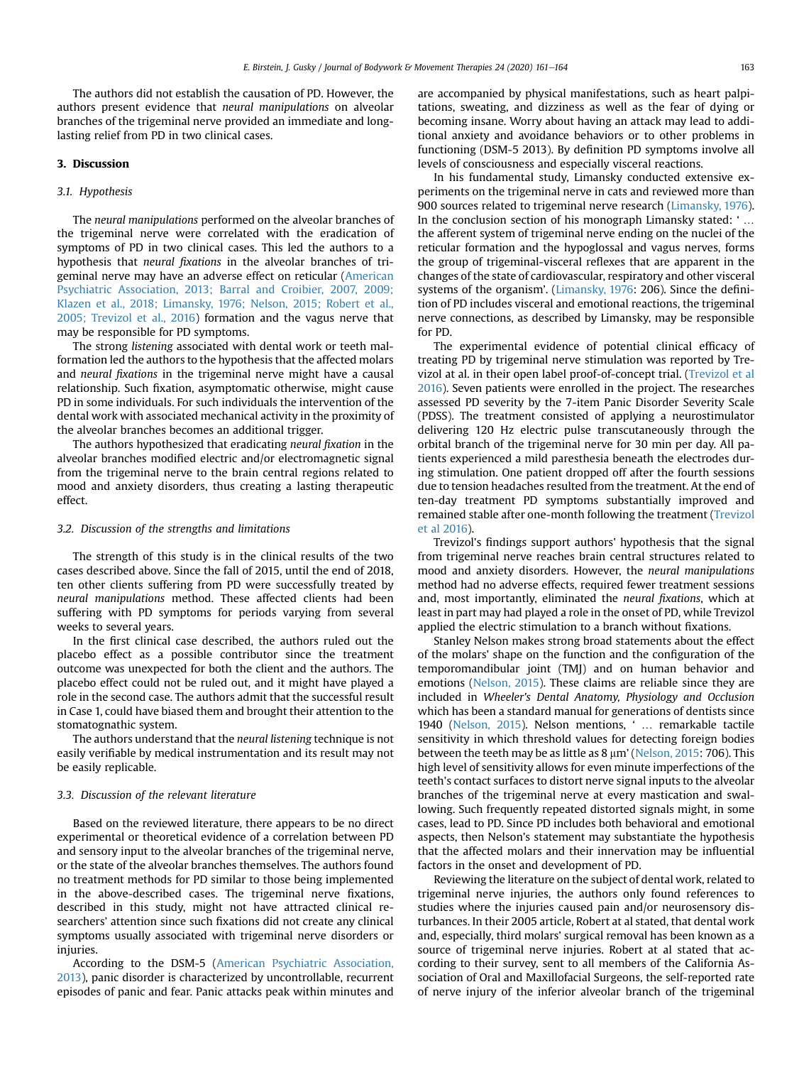The authors did not establish the causation of PD. However, the authors present evidence that neural manipulations on alveolar branches of the trigeminal nerve provided an immediate and longlasting relief from PD in two clinical cases.

## 3. Discussion

#### 3.1. Hypothesis

The neural manipulations performed on the alveolar branches of the trigeminal nerve were correlated with the eradication of symptoms of PD in two clinical cases. This led the authors to a hypothesis that neural fixations in the alveolar branches of trigeminal nerve may have an adverse effect on reticular [\(American](#page-3-2) [Psychiatric Association, 2013; Barral and Croibier, 2007, 2009;](#page-3-2) [Klazen et al., 2018; Limansky, 1976; Nelson, 2015; Robert et al.,](#page-3-2) [2005; Trevizol et al., 2016\)](#page-3-2) formation and the vagus nerve that may be responsible for PD symptoms.

The strong listening associated with dental work or teeth malformation led the authors to the hypothesis that the affected molars and neural fixations in the trigeminal nerve might have a causal relationship. Such fixation, asymptomatic otherwise, might cause PD in some individuals. For such individuals the intervention of the dental work with associated mechanical activity in the proximity of the alveolar branches becomes an additional trigger.

The authors hypothesized that eradicating neural fixation in the alveolar branches modified electric and/or electromagnetic signal from the trigeminal nerve to the brain central regions related to mood and anxiety disorders, thus creating a lasting therapeutic effect.

#### 3.2. Discussion of the strengths and limitations

The strength of this study is in the clinical results of the two cases described above. Since the fall of 2015, until the end of 2018, ten other clients suffering from PD were successfully treated by neural manipulations method. These affected clients had been suffering with PD symptoms for periods varying from several weeks to several years.

In the first clinical case described, the authors ruled out the placebo effect as a possible contributor since the treatment outcome was unexpected for both the client and the authors. The placebo effect could not be ruled out, and it might have played a role in the second case. The authors admit that the successful result in Case 1, could have biased them and brought their attention to the stomatognathic system.

The authors understand that the neural listening technique is not easily verifiable by medical instrumentation and its result may not be easily replicable.

#### 3.3. Discussion of the relevant literature

Based on the reviewed literature, there appears to be no direct experimental or theoretical evidence of a correlation between PD and sensory input to the alveolar branches of the trigeminal nerve, or the state of the alveolar branches themselves. The authors found no treatment methods for PD similar to those being implemented in the above-described cases. The trigeminal nerve fixations, described in this study, might not have attracted clinical researchers' attention since such fixations did not create any clinical symptoms usually associated with trigeminal nerve disorders or injuries.

According to the DSM-5 ([American Psychiatric Association,](#page-3-2) [2013\)](#page-3-2), panic disorder is characterized by uncontrollable, recurrent episodes of panic and fear. Panic attacks peak within minutes and are accompanied by physical manifestations, such as heart palpitations, sweating, and dizziness as well as the fear of dying or becoming insane. Worry about having an attack may lead to additional anxiety and avoidance behaviors or to other problems in functioning (DSM-5 2013). By definition PD symptoms involve all levels of consciousness and especially visceral reactions.

In his fundamental study, Limansky conducted extensive experiments on the trigeminal nerve in cats and reviewed more than 900 sources related to trigeminal nerve research [\(Limansky, 1976\)](#page-3-3). In the conclusion section of his monograph Limansky stated: '... the afferent system of trigeminal nerve ending on the nuclei of the reticular formation and the hypoglossal and vagus nerves, forms the group of trigeminal-visceral reflexes that are apparent in the changes of the state of cardiovascular, respiratory and other visceral systems of the organism'. ([Limansky, 1976](#page-3-3): 206). Since the definition of PD includes visceral and emotional reactions, the trigeminal nerve connections, as described by Limansky, may be responsible for PD.

The experimental evidence of potential clinical efficacy of treating PD by trigeminal nerve stimulation was reported by Trevizol at al. in their open label proof-of-concept trial. ([Trevizol et al](#page-3-4) [2016\)](#page-3-4). Seven patients were enrolled in the project. The researches assessed PD severity by the 7-item Panic Disorder Severity Scale (PDSS). The treatment consisted of applying a neurostimulator delivering 120 Hz electric pulse transcutaneously through the orbital branch of the trigeminal nerve for 30 min per day. All patients experienced a mild paresthesia beneath the electrodes during stimulation. One patient dropped off after the fourth sessions due to tension headaches resulted from the treatment. At the end of ten-day treatment PD symptoms substantially improved and remained stable after one-month following the treatment ([Trevizol](#page-3-4) [et al 2016\)](#page-3-4).

Trevizol's findings support authors' hypothesis that the signal from trigeminal nerve reaches brain central structures related to mood and anxiety disorders. However, the neural manipulations method had no adverse effects, required fewer treatment sessions and, most importantly, eliminated the neural fixations, which at least in part may had played a role in the onset of PD, while Trevizol applied the electric stimulation to a branch without fixations.

Stanley Nelson makes strong broad statements about the effect of the molars' shape on the function and the configuration of the temporomandibular joint (TMJ) and on human behavior and emotions ([Nelson, 2015](#page-3-5)). These claims are reliable since they are included in Wheeler's Dental Anatomy, Physiology and Occlusion which has been a standard manual for generations of dentists since 1940 ([Nelson, 2015\)](#page-3-5). Nelson mentions, ' … remarkable tactile sensitivity in which threshold values for detecting foreign bodies between the teeth may be as little as 8  $\mu$ m' ([Nelson, 2015:](#page-3-5) 706). This high level of sensitivity allows for even minute imperfections of the teeth's contact surfaces to distort nerve signal inputs to the alveolar branches of the trigeminal nerve at every mastication and swallowing. Such frequently repeated distorted signals might, in some cases, lead to PD. Since PD includes both behavioral and emotional aspects, then Nelson's statement may substantiate the hypothesis that the affected molars and their innervation may be influential factors in the onset and development of PD.

Reviewing the literature on the subject of dental work, related to trigeminal nerve injuries, the authors only found references to studies where the injuries caused pain and/or neurosensory disturbances. In their 2005 article, Robert at al stated, that dental work and, especially, third molars' surgical removal has been known as a source of trigeminal nerve injuries. Robert at al stated that according to their survey, sent to all members of the California Association of Oral and Maxillofacial Surgeons, the self-reported rate of nerve injury of the inferior alveolar branch of the trigeminal